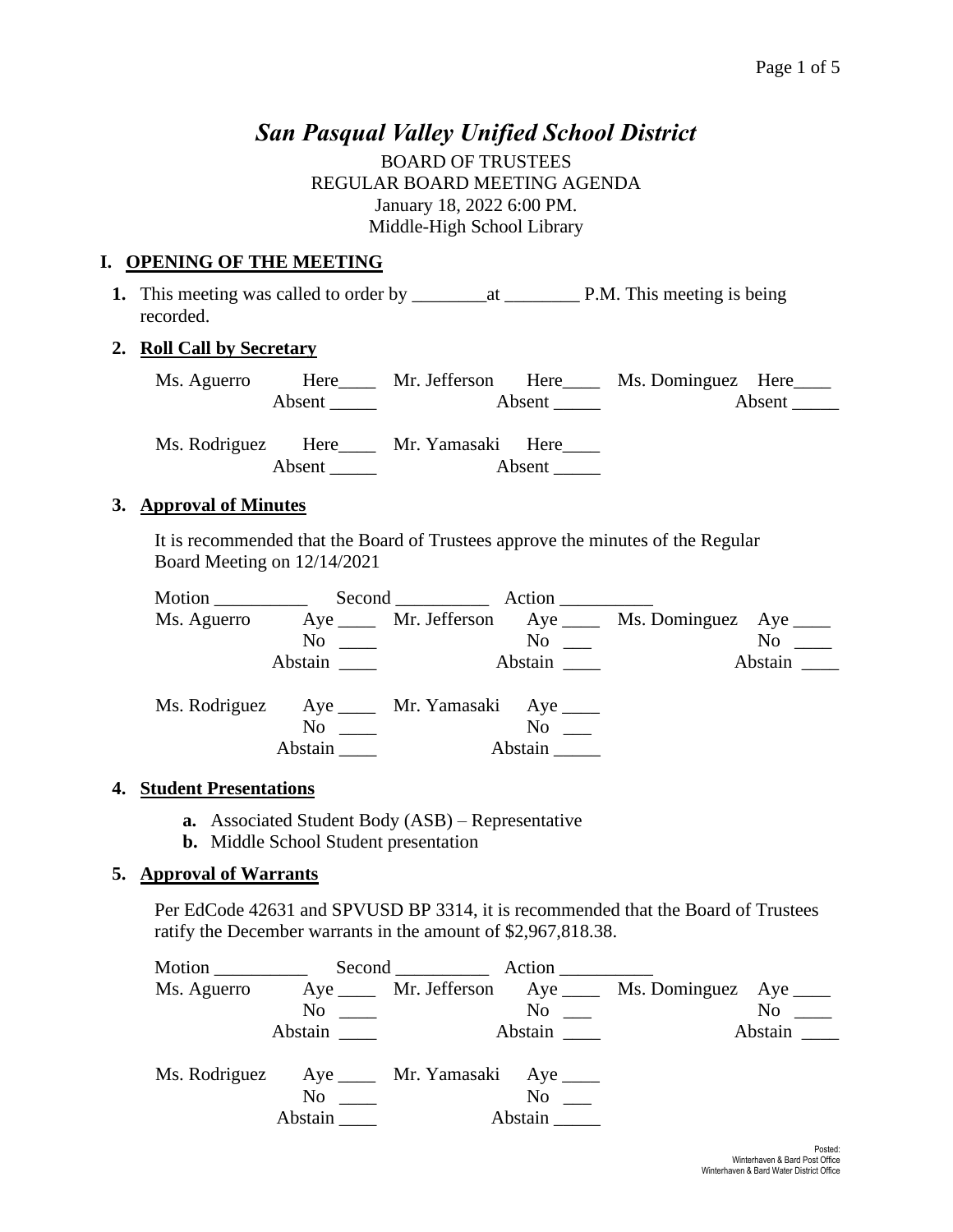# *San Pasqual Valley Unified School District*

BOARD OF TRUSTEES REGULAR BOARD MEETING AGENDA January 18, 2022 6:00 PM. Middle-High School Library

## **I. OPENING OF THE MEETING**

**1.** This meeting was called to order by \_\_\_\_\_\_\_\_at \_\_\_\_\_\_\_\_ P.M. This meeting is being recorded.

# **2. Roll Call by Secretary**

| Ms. Aguerro | Here   | Mr. Jefferson Here |        | Ms. Dominguez Here |        |
|-------------|--------|--------------------|--------|--------------------|--------|
|             | Absent |                    | Absent |                    | Absent |
|             |        |                    |        |                    |        |

Ms. Rodriguez Here Mr. Yamasaki Here Absent Absent

## **3. Approval of Minutes**

It is recommended that the Board of Trustees approve the minutes of the Regular Board Meeting on 12/14/2021

|                                               |                      | Second Action                 |                         |                                                         |           |
|-----------------------------------------------|----------------------|-------------------------------|-------------------------|---------------------------------------------------------|-----------|
| Ms. Aguerro                                   |                      |                               |                         | Aye _____ Mr. Jefferson Aye ____ Ms. Dominguez Aye ____ |           |
|                                               |                      | $\overline{N}$ $\overline{N}$ | $\mathrm{No}$ $\_\_$    |                                                         | $No \_\_$ |
|                                               | Abstain              |                               | Abstain                 |                                                         | Abstain   |
| Ms. Rodriguez Aye _____ Mr. Yamasaki Aye ____ |                      |                               |                         |                                                         |           |
|                                               | $No \ \_$<br>Abstain |                               | $No \t —$<br>Abstain __ |                                                         |           |
|                                               |                      |                               |                         |                                                         |           |

## **4. Student Presentations**

- **a.** Associated Student Body (ASB) Representative
- **b.** Middle School Student presentation

## **5. Approval of Warrants**

Per EdCode 42631 and SPVUSD BP 3314, it is recommended that the Board of Trustees ratify the December warrants in the amount of \$2,967,818.38.

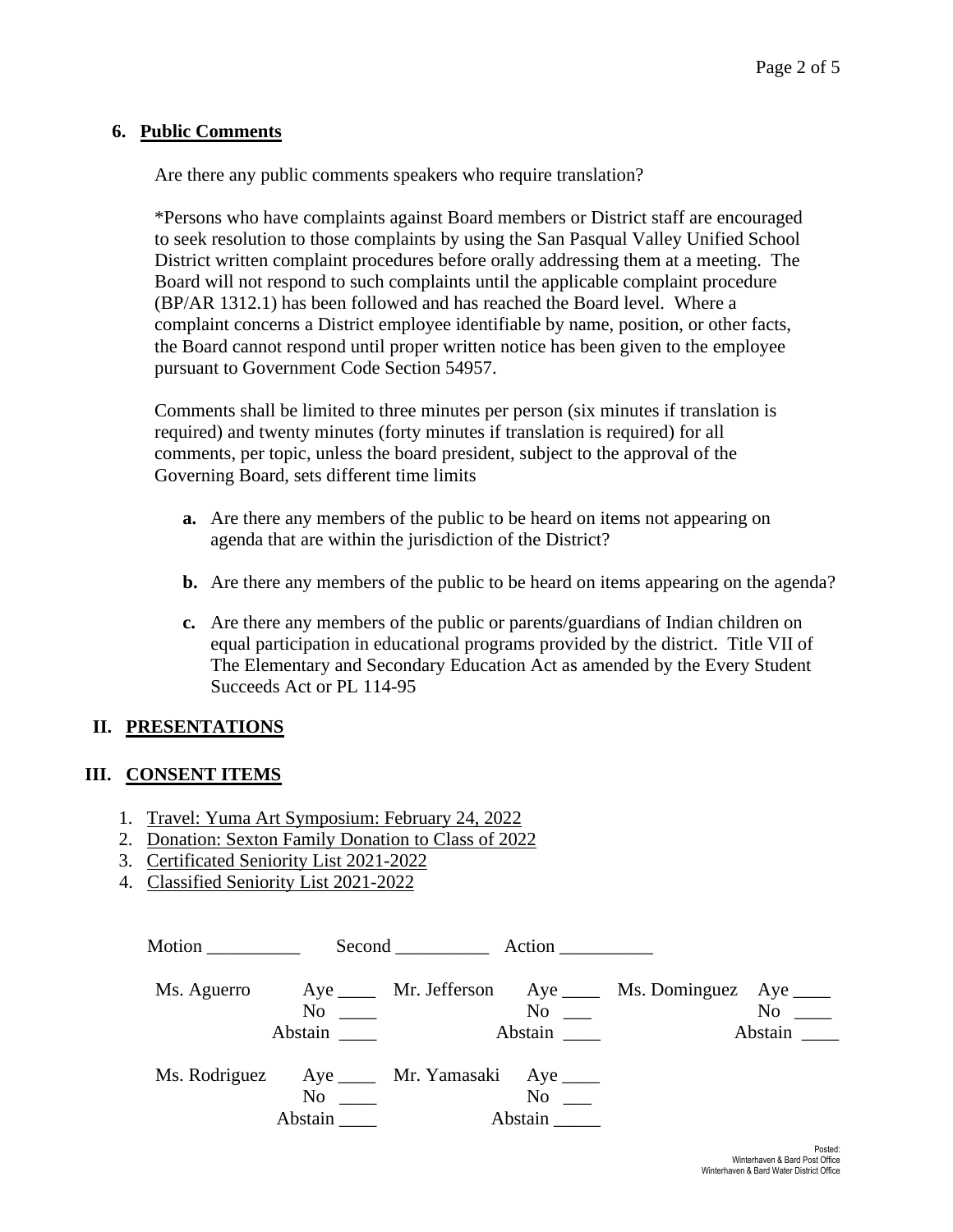#### **6. Public Comments**

Are there any public comments speakers who require translation?

\*Persons who have complaints against Board members or District staff are encouraged to seek resolution to those complaints by using the San Pasqual Valley Unified School District written complaint procedures before orally addressing them at a meeting. The Board will not respond to such complaints until the applicable complaint procedure (BP/AR 1312.1) has been followed and has reached the Board level. Where a complaint concerns a District employee identifiable by name, position, or other facts, the Board cannot respond until proper written notice has been given to the employee pursuant to Government Code Section 54957.

Comments shall be limited to three minutes per person (six minutes if translation is required) and twenty minutes (forty minutes if translation is required) for all comments, per topic, unless the board president, subject to the approval of the Governing Board, sets different time limits

- **a.** Are there any members of the public to be heard on items not appearing on agenda that are within the jurisdiction of the District?
- **b.** Are there any members of the public to be heard on items appearing on the agenda?
- **c.** Are there any members of the public or parents/guardians of Indian children on equal participation in educational programs provided by the district. Title VII of The Elementary and Secondary Education Act as amended by the Every Student Succeeds Act or PL 114-95

#### **II. PRESENTATIONS**

#### **III. CONSENT ITEMS**

- 1. Travel: Yuma Art Symposium: February 24, 2022
- 2. Donation: Sexton Family Donation to Class of 2022
- 3. Certificated Seniority List 2021-2022
- 4. Classified Seniority List 2021-2022

| Motion $\qquad \qquad$                       |                                                                                                                                                                                                                                           | Second Action |                                 |                                                            |                      |
|----------------------------------------------|-------------------------------------------------------------------------------------------------------------------------------------------------------------------------------------------------------------------------------------------|---------------|---------------------------------|------------------------------------------------------------|----------------------|
| Ms. Aguerro                                  | $No \ \_$<br>Abstain                                                                                                                                                                                                                      |               | $\mathrm{No}$ $\_\_$<br>Abstain | Aye ______ Mr. Jefferson Aye _____ Ms. Dominguez Aye _____ | $No \ \_$<br>Abstain |
| Ms. Rodriguez Aye ____ Mr. Yamasaki Aye ____ | No and the same state of the state of the state of the state of the state of the state of the state of the state of the state of the state of the state of the state of the state of the state of the state of the state of th<br>Abstain |               | $No \t —$<br>Abstain            |                                                            |                      |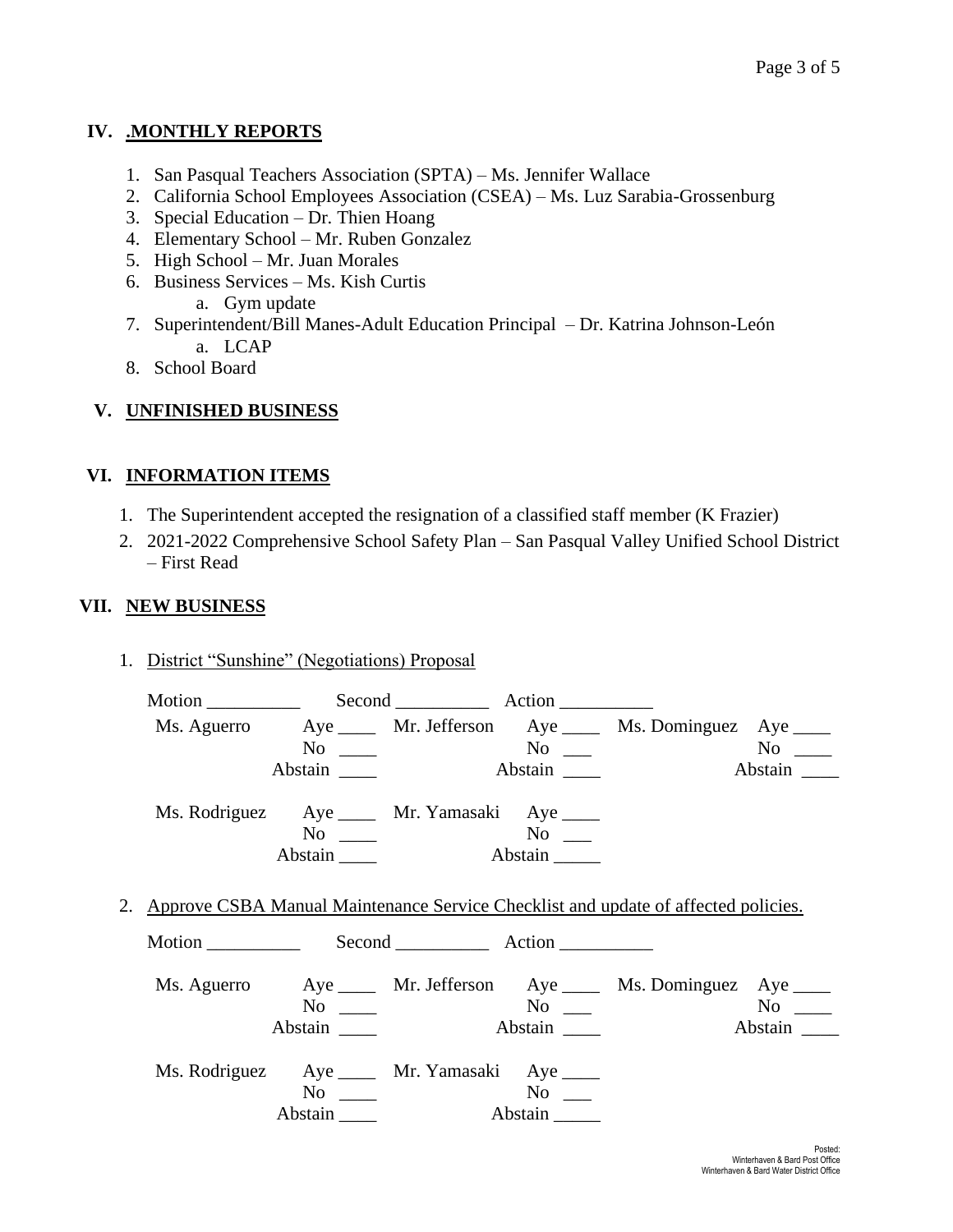# **IV. .MONTHLY REPORTS**

- 1. San Pasqual Teachers Association (SPTA) Ms. Jennifer Wallace
- 2. California School Employees Association (CSEA) Ms. Luz Sarabia-Grossenburg
- 3. Special Education Dr. Thien Hoang
- 4. Elementary School Mr. Ruben Gonzalez
- 5. High School Mr. Juan Morales
- 6. Business Services Ms. Kish Curtis a. Gym update
- 7. Superintendent/Bill Manes-Adult Education Principal Dr. Katrina Johnson-León a. LCAP
- 8. School Board

# **V. UNFINISHED BUSINESS**

# **VI. INFORMATION ITEMS**

- 1. The Superintendent accepted the resignation of a classified staff member (K Frazier)
- 2. 2021-2022 Comprehensive School Safety Plan San Pasqual Valley Unified School District – First Read

# **VII. NEW BUSINESS**

1. District "Sunshine" (Negotiations) Proposal

| Motion Second Action |                                                                       |                                                                                                                                                                                                                                                                                 |                                                                                       |         |
|----------------------|-----------------------------------------------------------------------|---------------------------------------------------------------------------------------------------------------------------------------------------------------------------------------------------------------------------------------------------------------------------------|---------------------------------------------------------------------------------------|---------|
|                      |                                                                       |                                                                                                                                                                                                                                                                                 | Ms. Aguerro Aye _____ Mr. Jefferson Aye _____ Ms. Dominguez Aye ____                  |         |
|                      | $No \t —$                                                             |                                                                                                                                                                                                                                                                                 | $\overline{\text{No}}$ $\overline{\phantom{0}}$                                       |         |
|                      | Abstain                                                               | Abstain                                                                                                                                                                                                                                                                         |                                                                                       | Abstain |
|                      | Ms. Rodriguez Aye ____ Mr. Yamasaki Aye ____                          |                                                                                                                                                                                                                                                                                 |                                                                                       |         |
|                      | $No \_\_$                                                             |                                                                                                                                                                                                                                                                                 |                                                                                       |         |
|                      | Abstain ______                                                        | Abstain                                                                                                                                                                                                                                                                         |                                                                                       |         |
|                      |                                                                       |                                                                                                                                                                                                                                                                                 | 2. Approve CSBA Manual Maintenance Service Checklist and update of affected policies. |         |
|                      |                                                                       |                                                                                                                                                                                                                                                                                 | Ms. Aguerro Aye _____ Mr. Jefferson Aye _____ Ms. Dominguez Aye ____                  |         |
|                      | $No \t —$                                                             | $N_{\rm O}$ and $N_{\rm O}$ and $N_{\rm O}$ and $N_{\rm O}$ and $N_{\rm O}$ and $N_{\rm O}$ and $N_{\rm O}$ and $N_{\rm O}$ and $N_{\rm O}$ and $N_{\rm O}$ and $N_{\rm O}$ and $N_{\rm O}$ and $N_{\rm O}$ and $N_{\rm O}$ and $N_{\rm O}$ and $N_{\rm O}$ and $N_{\rm O}$ and |                                                                                       |         |
|                      | Abstain _______                                                       | Abstain                                                                                                                                                                                                                                                                         |                                                                                       | Abstain |
|                      | Ms. Rodriguez Aye _____ Mr. Yamasaki Aye ____<br>$No \ \_$<br>Abstain | Abstain                                                                                                                                                                                                                                                                         |                                                                                       |         |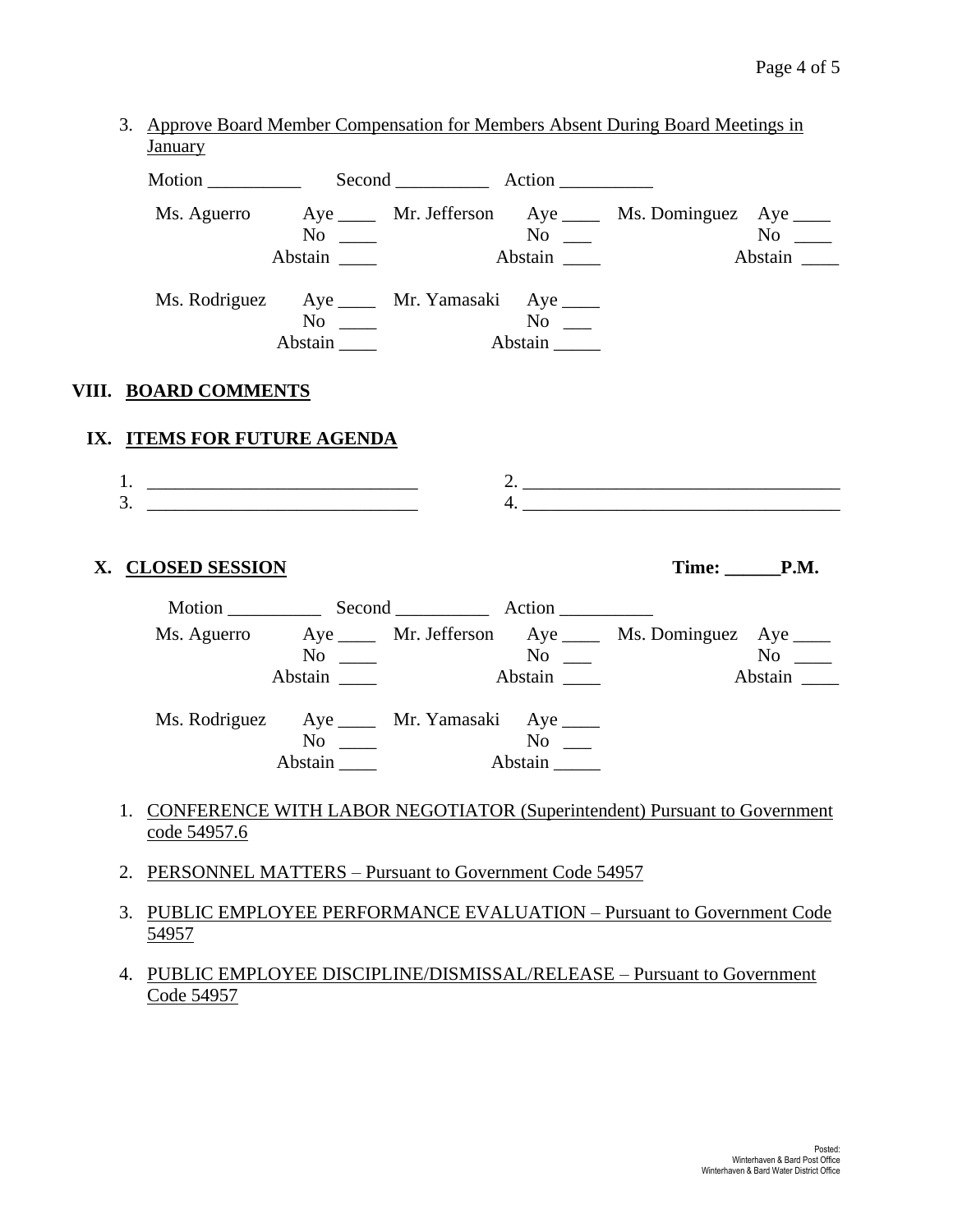| Ms. Aguerro Aye ____ Mr. Jefferson Aye ____ Ms. Dominguez Aye ____<br>No<br>Abstain<br>Ms. Rodriguez Aye ____ Mr. Yamasaki Aye ____<br>$No \ \_$<br>Abstain<br>VIII. BOARD COMMENTS<br>IX. ITEMS FOR FUTURE AGENDA<br>4. $\overline{\phantom{a}}$<br>$3.$ $\qquad \qquad$<br>Time: P.M.<br>X. CLOSED SESSION<br>Ms. Aguerro Aye _____ Mr. Jefferson Aye _____ Ms. Dominguez Aye ____<br>$\overline{N_0}$ $\overline{N_0}$ $\overline{N_0}$ $\overline{N_0}$ $\overline{N_0}$ $\overline{N_0}$ $\overline{N_0}$ $\overline{N_0}$ $\overline{N_0}$ $\overline{N_0}$ $\overline{N_0}$ $\overline{N_0}$ $\overline{N_0}$ $\overline{N_0}$ $\overline{N_0}$ $\overline{N_0}$ $\overline{N_0}$ $\overline{N_0}$ $\overline{N_0}$ $\overline{N_0}$<br>Abstain<br>Ms. Rodriguez Aye ____ Mr. Yamasaki Aye ____<br>$No \ \_$ |  |  |                    |
|---------------------------------------------------------------------------------------------------------------------------------------------------------------------------------------------------------------------------------------------------------------------------------------------------------------------------------------------------------------------------------------------------------------------------------------------------------------------------------------------------------------------------------------------------------------------------------------------------------------------------------------------------------------------------------------------------------------------------------------------------------------------------------------------------------------------|--|--|--------------------|
|                                                                                                                                                                                                                                                                                                                                                                                                                                                                                                                                                                                                                                                                                                                                                                                                                     |  |  |                    |
|                                                                                                                                                                                                                                                                                                                                                                                                                                                                                                                                                                                                                                                                                                                                                                                                                     |  |  |                    |
|                                                                                                                                                                                                                                                                                                                                                                                                                                                                                                                                                                                                                                                                                                                                                                                                                     |  |  |                    |
|                                                                                                                                                                                                                                                                                                                                                                                                                                                                                                                                                                                                                                                                                                                                                                                                                     |  |  |                    |
|                                                                                                                                                                                                                                                                                                                                                                                                                                                                                                                                                                                                                                                                                                                                                                                                                     |  |  |                    |
|                                                                                                                                                                                                                                                                                                                                                                                                                                                                                                                                                                                                                                                                                                                                                                                                                     |  |  |                    |
|                                                                                                                                                                                                                                                                                                                                                                                                                                                                                                                                                                                                                                                                                                                                                                                                                     |  |  |                    |
|                                                                                                                                                                                                                                                                                                                                                                                                                                                                                                                                                                                                                                                                                                                                                                                                                     |  |  |                    |
|                                                                                                                                                                                                                                                                                                                                                                                                                                                                                                                                                                                                                                                                                                                                                                                                                     |  |  |                    |
|                                                                                                                                                                                                                                                                                                                                                                                                                                                                                                                                                                                                                                                                                                                                                                                                                     |  |  |                    |
|                                                                                                                                                                                                                                                                                                                                                                                                                                                                                                                                                                                                                                                                                                                                                                                                                     |  |  |                    |
|                                                                                                                                                                                                                                                                                                                                                                                                                                                                                                                                                                                                                                                                                                                                                                                                                     |  |  |                    |
|                                                                                                                                                                                                                                                                                                                                                                                                                                                                                                                                                                                                                                                                                                                                                                                                                     |  |  | $No \_$<br>Abstain |
| Abstain<br>Abstain                                                                                                                                                                                                                                                                                                                                                                                                                                                                                                                                                                                                                                                                                                                                                                                                  |  |  |                    |
|                                                                                                                                                                                                                                                                                                                                                                                                                                                                                                                                                                                                                                                                                                                                                                                                                     |  |  |                    |

- 2. PERSONNEL MATTERS Pursuant to Government Code 54957
- 3. PUBLIC EMPLOYEE PERFORMANCE EVALUATION Pursuant to Government Code 54957
- 4. PUBLIC EMPLOYEE DISCIPLINE/DISMISSAL/RELEASE Pursuant to Government Code 54957